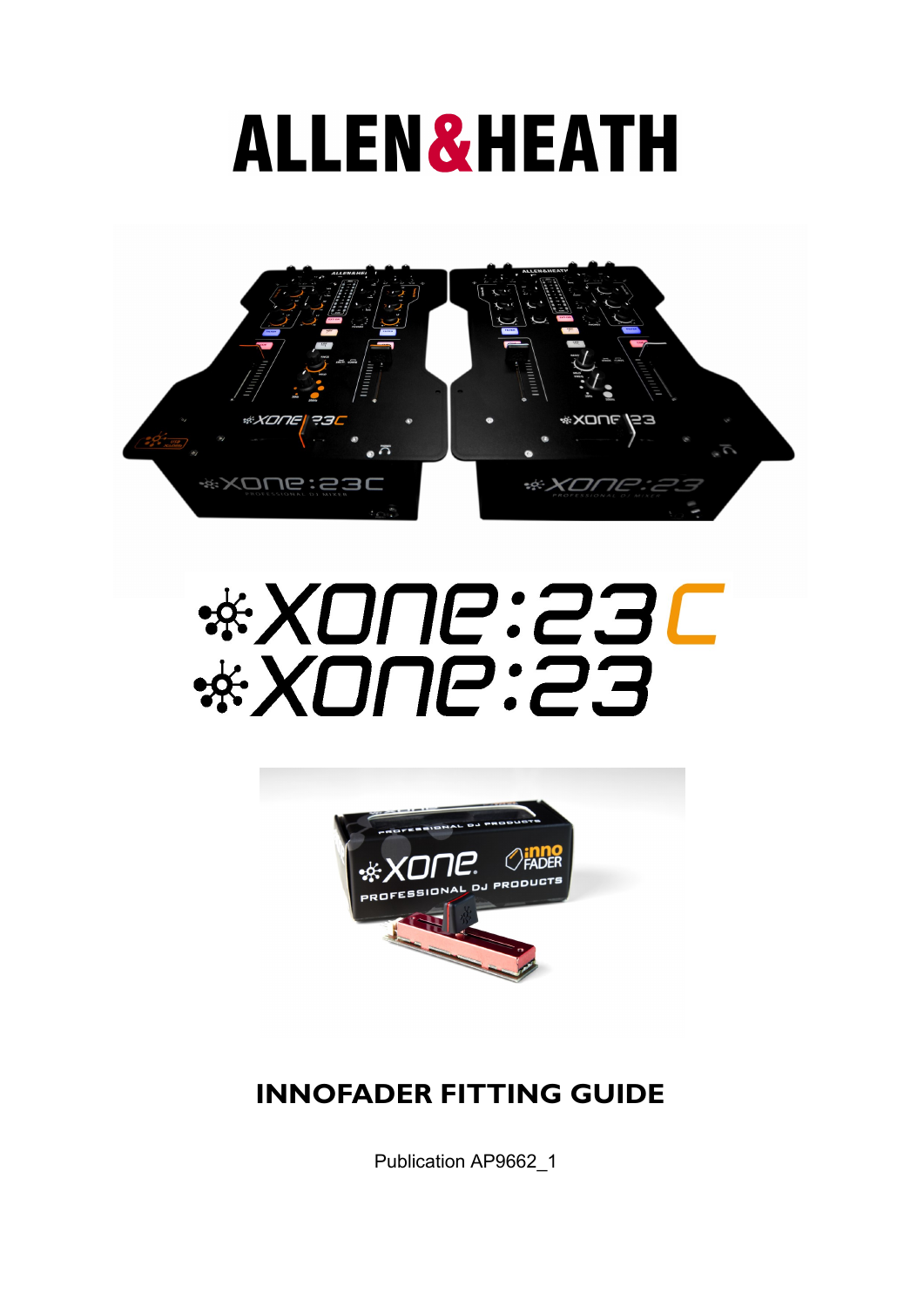# **ALLEN&HEATH**



# **\*XONE:23C**<br>\*XONE:23



## **INNOFADER FITTING GUIDE**

Publication AP9662\_1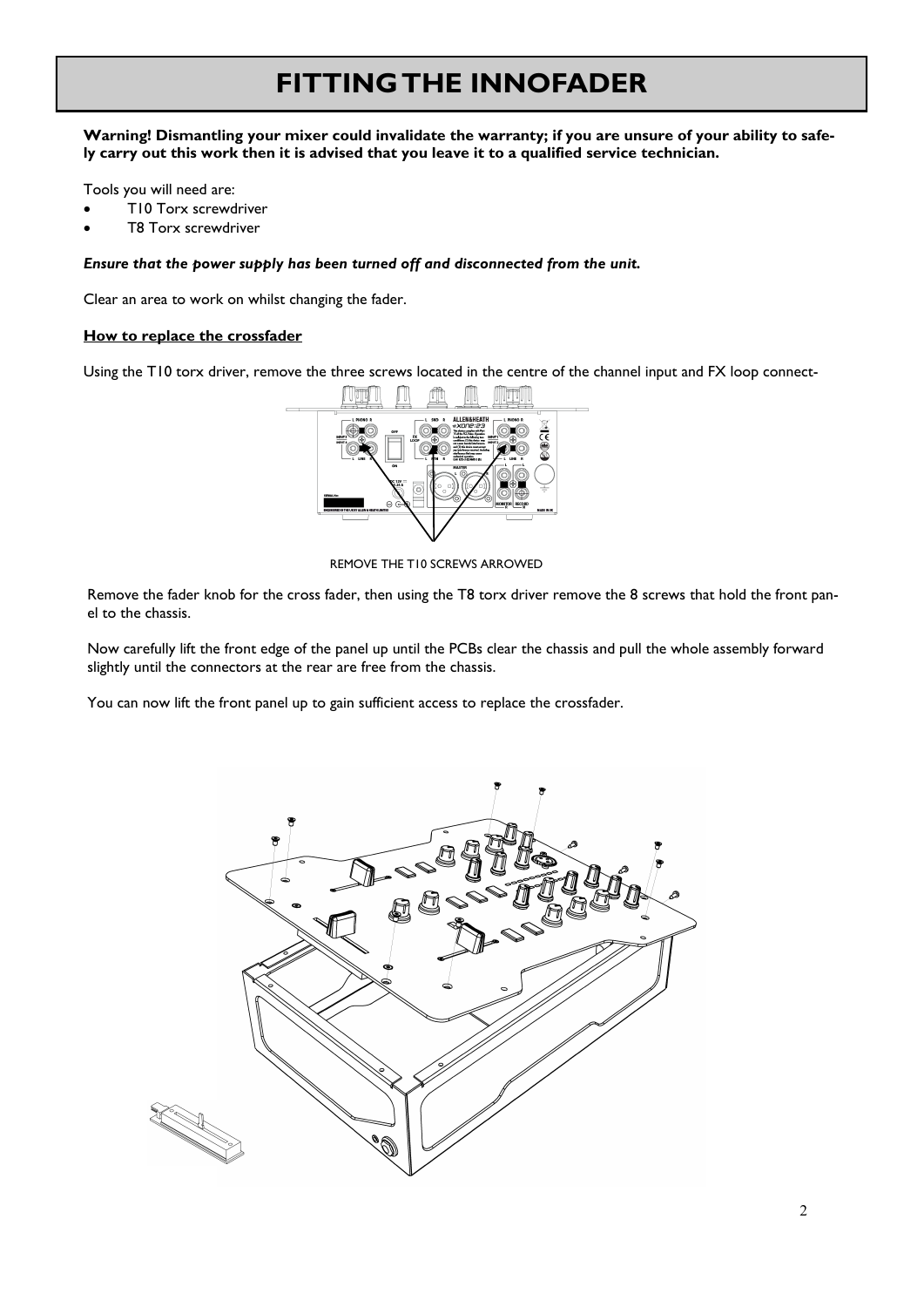## **FITTING THE INNOFADER**

#### **Warning! Dismantling your mixer could invalidate the warranty; if you are unsure of your ability to safely carry out this work then it is advised that you leave it to a qualified service technician.**

Tools you will need are:

- T10 Torx screwdriver
- T8 Torx screwdriver

#### *Ensure that the power supply has been turned off and disconnected from the unit.*

Clear an area to work on whilst changing the fader.

#### **How to replace the crossfader**

Using the T10 torx driver, remove the three screws located in the centre of the channel input and FX loop connect-



REMOVE THE T10 SCREWS ARROWED

Remove the fader knob for the cross fader, then using the T8 torx driver remove the 8 screws that hold the front panel to the chassis.

Now carefully lift the front edge of the panel up until the PCBs clear the chassis and pull the whole assembly forward slightly until the connectors at the rear are free from the chassis.

You can now lift the front panel up to gain sufficient access to replace the crossfader.